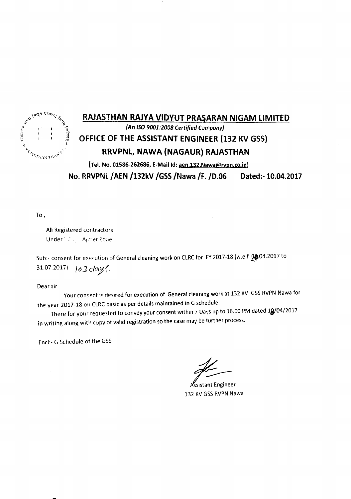

### RAJASTHAN RAJYA VIDYUT PR8\$ARAN NIGAM LIMITED

*(An ISO9001:2008 Certified Company)*

# OFFICE OF THE ASSISTANT ENGINEER (132 KV GSS)

#### RRVPNl, NAWA (NAGAUR) RAJASTHAN

(Tel. No. 01586-262686, E-Mail Id: aen.132.Nawa@rvpn.co.in) No. RRVPNL/AEN /132kV /GSS/Nawa /F./D.06 Dated:-lO.04.2017

To,

All Registered contractors Under<sup>- CL</sup> Ajoier Zone

Sub:- consent for execution of General cleaning work on CLRC for FY 2017-18 (w.e.f 20.04.2017 to  $31.07.2017$ )  $103$  day

Dear sir

Your consent is desired for execution of General cleaning work at 132 KV GSS RVPN Nawa for the year 2017-18 on CLRC basic as per details maintained in G schedule.

There for your requested to convey your consent within 7 Days up to 16.00 PM dated 10/04/2017 in writing along with copy of valid registration so the case may be further process.

Encl:- G Schedule of the GSS

Assistant Engineer 132 KV GSS RVPN Nawa